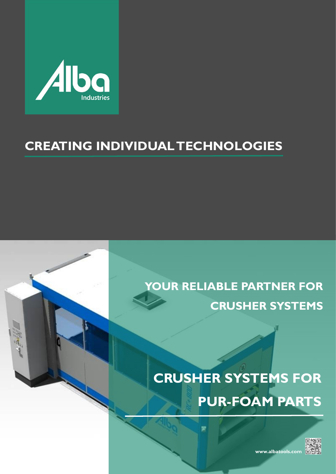

# **CREATING INDIVIDUAL TECHNOLOGIES**

# **YOUR RELIABLE PARTNER FOR CRUSHER SYSTEMS**

# **CRUSHER SYSTEMS FOR PUR-FOAM PARTS**



**www.albatools.com**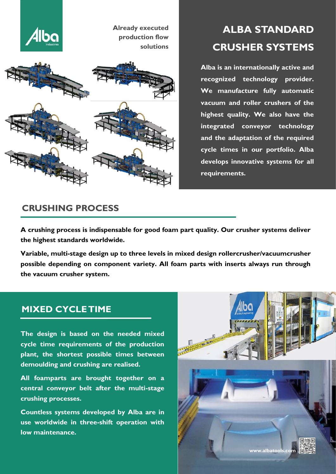

# **ALBA STANDARD CRUSHER SYSTEMS**

**Alba is an internationally active and recognized technology provider. We manufacture fully automatic vacuum and roller crushers of the highest quality. We also have the integrated conveyor technology and the adaptation of the required cycle times in our portfolio. Alba develops innovative systems for all requirements.**

## **CRUSHING PROCESS**

**A crushing process is indispensable for good foam part quality. Our crusher systems deliver the highest standards worldwide.**

**Variable, multi-stage design up to three levels in mixed design rollercrusher/vacuumcrusher possible depending on component variety. All foam parts with inserts always run through the vacuum crusher system.**

## **MIXED CYCLE TIME**

**The design is based on the needed mixed cycle time requirements of the production plant, the shortest possible times between demoulding and crushing are realised.** 

**All foamparts are brought together on a central conveyor belt after the multi-stage crushing processes.**

**Countless systems developed by Alba are in use worldwide in three-shift operation with low maintenance.**

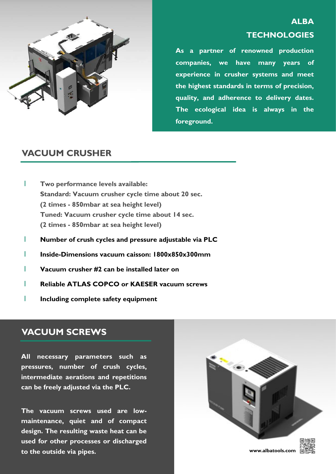

# **ALBA TECHNOLOGIES**

**As a partner of renowned production companies, we have many years of experience in crusher systems and meet the highest standards in terms of precision, quality, and adherence to delivery dates. The ecological idea is always in the foreground.**

### **VACUUM CRUSHER**

- l **Two performance levels available: Standard: Vacuum crusher cycle time about 20 sec. (2 times - 850mbar at sea height level) Tuned: Vacuum crusher cycle time about 14 sec. (2 times - 850mbar at sea height level)**
- l **Number of crush cycles and pressure adjustable via PLC**
- l **Inside-Dimensions vacuum caisson: 1800x850x300mm**
- l **Vacuum crusher #2 can be installed later on**
- l **Reliable ATLAS COPCO or KAESER vacuum screws**
- l **Including complete safety equipment**

#### **VACUUM SCREWS**

**All necessary parameters such as pressures, number of crush cycles, intermediate aerations and repetitions can be freely adjusted via the PLC.**

**The vacuum screws used are lowmaintenance, quiet and of compact design. The resulting waste heat can be used for other processes or discharged to the outside via pipes.**

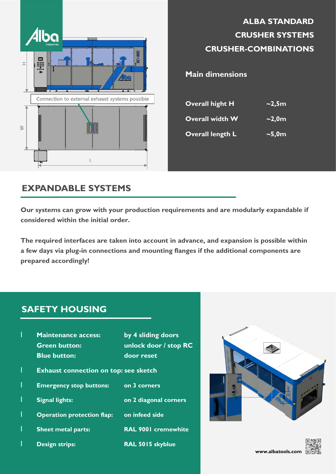

|                         | <b>CRUSHER SYSTEMS</b><br><b>CRUSHER-COMBINATIONS</b> |
|-------------------------|-------------------------------------------------------|
| <b>Main dimensions</b>  |                                                       |
| <b>Overall hight H</b>  | $\sim$ 2,5m                                           |
| <b>Overall width W</b>  | $\sim$ 2,0m                                           |
| <b>Overall length L</b> | $\sim$ 5,0 $m$                                        |

**ALBA STANDARD** 

# **EXPANDABLE SYSTEMS**

**Our systems can grow with your production requirements and are modularly expandable if considered within the initial order.** 

**The required interfaces are taken into account in advance, and expansion is possible within a few days via plug-in connections and mounting flanges if the additional components are prepared accordingly!**

# **SAFETY HOUSING**

| by 4 sliding doors<br>unlock door / stop RC |
|---------------------------------------------|
|                                             |
|                                             |
| on 2 diagonal corners                       |
|                                             |
| <b>RAL 9001 cremewhite</b>                  |
|                                             |
|                                             |